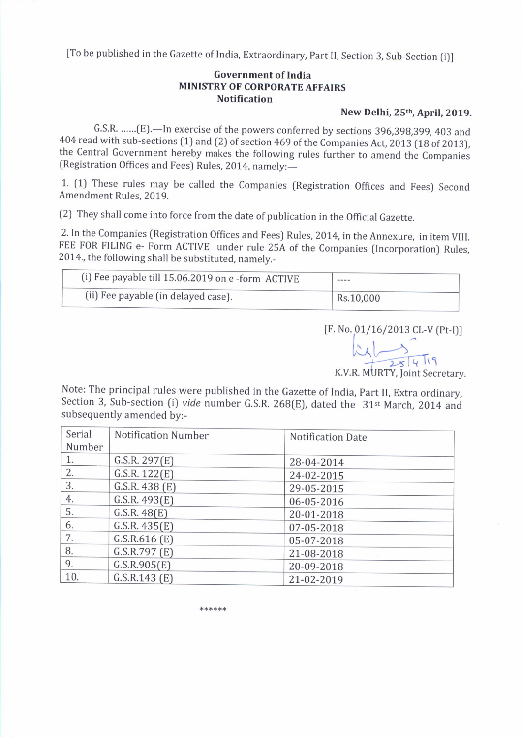[To be published in the Gazette of India, Extraordinary, Part II, Section 3, Sub-Section (i)]

## Government of India MINISTRY OF CORPORATE AFFAIRS **Notification**

# New Delhi, 25<sup>th</sup>, April, 2019.

G.S.R. ......(E).-In exercise of the powers conferred by sections 396,398,399, 403 and 404 read with sub-sections (1) and (2) of section 469 of the Companies Act, 2013 (18 of 2013), the Central Government hereby makes the following rules further to amend the Companies (Registration Offices and Fees) Rules, 2014, namely:-

1. (1) These rules may be called the Companies (Registration Offices and Fees) Second Amendment Rules, 2019.

(2) They shall come into force from the date of publication in the Official Gazette.

2. In the companies (Registration offices and Fees) Rules,2014, in the Annexure, in item vlll. FEE FoR FILING e- Form ACTIVE under rule 25A of the companies [lncorporation) Rules, 2014., the following shall be substituted, namely.-

| (i) Fee payable till 15.06.2019 on e-form ACTIVE | $- - - -$ |  |
|--------------------------------------------------|-----------|--|
| (ii) Fee payable (in delayed case).              | Rs.10,000 |  |

[F. No. 01/16/2013 CL-V (Pt-I)]

 $k_A$ <br>K.V.R. MURTY, Joint Secretary.

Note: The principal rules were published in the Gazette of India, Part II, Extra ordinary, Section 3, Sub-section (i) vide number G.S.R. 268(E), dated the  $31$ <sup>st</sup> March, 2014 and subsequently amended by:-

| Serial | Notification Number | <b>Notification Date</b> |
|--------|---------------------|--------------------------|
| Number |                     |                          |
| 1.     | G.S.R. 297(E)       | 28-04-2014               |
| 2.     | G.S.R. 122(E)       | 24-02-2015               |
| 3.     | G.S.R. 438 (E)      | 29-05-2015               |
| 4.     | G.S.R. 493(E)       | 06-05-2016               |
| 5.     | G.S.R. 48(E)        | 20-01-2018               |
| 6.     | G.S.R. 435(E)       | 07-05-2018               |
| 7.     | G.S.R.616(E)        | 05-07-2018               |
| 8.     | G.S.R.797(E)        | 21-08-2018               |
| 9.     | G.S.R.905(E)        | 20-09-2018               |
| 10.    | G.S.R.143(E)        | 21-02-2019               |

\*\*\*\*\*\*